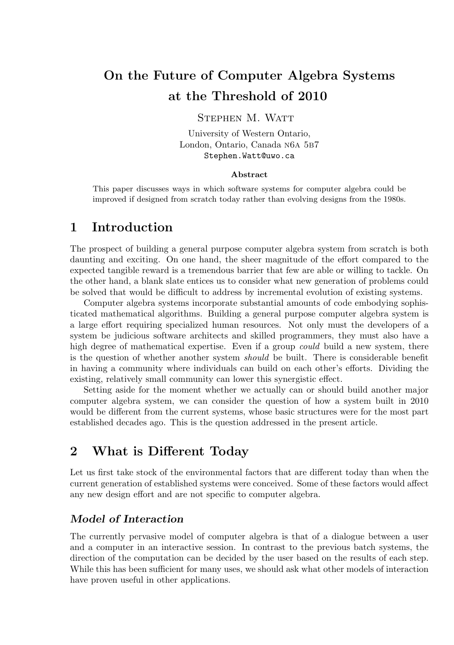# On the Future of Computer Algebra Systems at the Threshold of 2010

#### STEPHEN M. WATT

University of Western Ontario, London, Ontario, Canada n6a 5b7 Stephen.Watt@uwo.ca

#### Abstract

This paper discusses ways in which software systems for computer algebra could be improved if designed from scratch today rather than evolving designs from the 1980s.

#### 1 Introduction

The prospect of building a general purpose computer algebra system from scratch is both daunting and exciting. On one hand, the sheer magnitude of the effort compared to the expected tangible reward is a tremendous barrier that few are able or willing to tackle. On the other hand, a blank slate entices us to consider what new generation of problems could be solved that would be difficult to address by incremental evolution of existing systems.

Computer algebra systems incorporate substantial amounts of code embodying sophisticated mathematical algorithms. Building a general purpose computer algebra system is a large effort requiring specialized human resources. Not only must the developers of a system be judicious software architects and skilled programmers, they must also have a high degree of mathematical expertise. Even if a group *could* build a new system, there is the question of whether another system should be built. There is considerable benefit in having a community where individuals can build on each other's efforts. Dividing the existing, relatively small community can lower this synergistic effect.

Setting aside for the moment whether we actually can or should build another major computer algebra system, we can consider the question of how a system built in 2010 would be different from the current systems, whose basic structures were for the most part established decades ago. This is the question addressed in the present article.

### 2 What is Different Today

Let us first take stock of the environmental factors that are different today than when the current generation of established systems were conceived. Some of these factors would affect any new design effort and are not specific to computer algebra.

#### Model of Interaction

The currently pervasive model of computer algebra is that of a dialogue between a user and a computer in an interactive session. In contrast to the previous batch systems, the direction of the computation can be decided by the user based on the results of each step. While this has been sufficient for many uses, we should ask what other models of interaction have proven useful in other applications.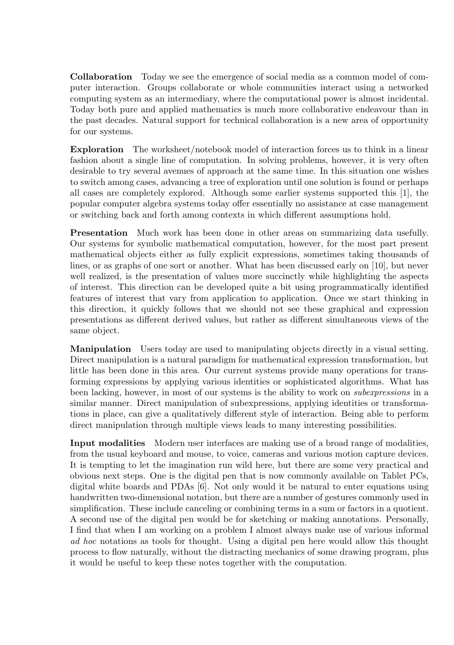Collaboration Today we see the emergence of social media as a common model of computer interaction. Groups collaborate or whole communities interact using a networked computing system as an intermediary, where the computational power is almost incidental. Today both pure and applied mathematics is much more collaborative endeavour than in the past decades. Natural support for technical collaboration is a new area of opportunity for our systems.

Exploration The worksheet/notebook model of interaction forces us to think in a linear fashion about a single line of computation. In solving problems, however, it is very often desirable to try several avenues of approach at the same time. In this situation one wishes to switch among cases, advancing a tree of exploration until one solution is found or perhaps all cases are completely explored. Although some earlier systems supported this [1], the popular computer algebra systems today offer essentially no assistance at case management or switching back and forth among contexts in which different assumptions hold.

Presentation Much work has been done in other areas on summarizing data usefully. Our systems for symbolic mathematical computation, however, for the most part present mathematical objects either as fully explicit expressions, sometimes taking thousands of lines, or as graphs of one sort or another. What has been discussed early on [10], but never well realized, is the presentation of values more succinctly while highlighting the aspects of interest. This direction can be developed quite a bit using programmatically identified features of interest that vary from application to application. Once we start thinking in this direction, it quickly follows that we should not see these graphical and expression presentations as different derived values, but rather as different simultaneous views of the same object.

Manipulation Users today are used to manipulating objects directly in a visual setting. Direct manipulation is a natural paradigm for mathematical expression transformation, but little has been done in this area. Our current systems provide many operations for transforming expressions by applying various identities or sophisticated algorithms. What has been lacking, however, in most of our systems is the ability to work on subexpressions in a similar manner. Direct manipulation of subexpressions, applying identities or transformations in place, can give a qualitatively different style of interaction. Being able to perform direct manipulation through multiple views leads to many interesting possibilities.

Input modalities Modern user interfaces are making use of a broad range of modalities, from the usual keyboard and mouse, to voice, cameras and various motion capture devices. It is tempting to let the imagination run wild here, but there are some very practical and obvious next steps. One is the digital pen that is now commonly available on Tablet PCs, digital white boards and PDAs [6]. Not only would it be natural to enter equations using handwritten two-dimensional notation, but there are a number of gestures commonly used in simplification. These include canceling or combining terms in a sum or factors in a quotient. A second use of the digital pen would be for sketching or making annotations. Personally, I find that when I am working on a problem I almost always make use of various informal ad hoc notations as tools for thought. Using a digital pen here would allow this thought process to flow naturally, without the distracting mechanics of some drawing program, plus it would be useful to keep these notes together with the computation.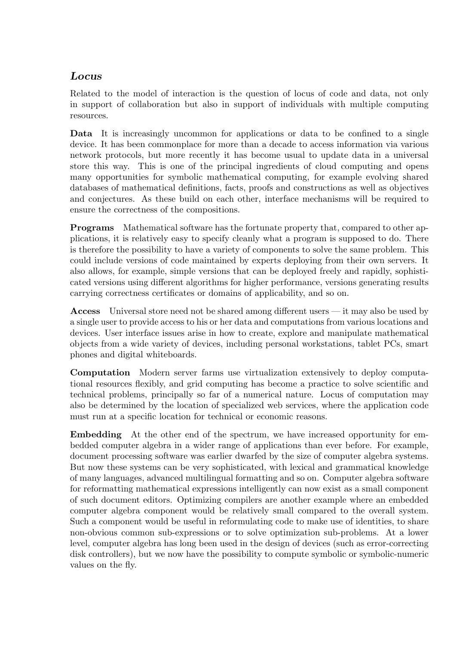#### Locus

Related to the model of interaction is the question of locus of code and data, not only in support of collaboration but also in support of individuals with multiple computing resources.

Data It is increasingly uncommon for applications or data to be confined to a single device. It has been commonplace for more than a decade to access information via various network protocols, but more recently it has become usual to update data in a universal store this way. This is one of the principal ingredients of cloud computing and opens many opportunities for symbolic mathematical computing, for example evolving shared databases of mathematical definitions, facts, proofs and constructions as well as objectives and conjectures. As these build on each other, interface mechanisms will be required to ensure the correctness of the compositions.

Programs Mathematical software has the fortunate property that, compared to other applications, it is relatively easy to specify cleanly what a program is supposed to do. There is therefore the possibility to have a variety of components to solve the same problem. This could include versions of code maintained by experts deploying from their own servers. It also allows, for example, simple versions that can be deployed freely and rapidly, sophisticated versions using different algorithms for higher performance, versions generating results carrying correctness certificates or domains of applicability, and so on.

Access Universal store need not be shared among different users — it may also be used by a single user to provide access to his or her data and computations from various locations and devices. User interface issues arise in how to create, explore and manipulate mathematical objects from a wide variety of devices, including personal workstations, tablet PCs, smart phones and digital whiteboards.

Computation Modern server farms use virtualization extensively to deploy computational resources flexibly, and grid computing has become a practice to solve scientific and technical problems, principally so far of a numerical nature. Locus of computation may also be determined by the location of specialized web services, where the application code must run at a specific location for technical or economic reasons.

Embedding At the other end of the spectrum, we have increased opportunity for embedded computer algebra in a wider range of applications than ever before. For example, document processing software was earlier dwarfed by the size of computer algebra systems. But now these systems can be very sophisticated, with lexical and grammatical knowledge of many languages, advanced multilingual formatting and so on. Computer algebra software for reformatting mathematical expressions intelligently can now exist as a small component of such document editors. Optimizing compilers are another example where an embedded computer algebra component would be relatively small compared to the overall system. Such a component would be useful in reformulating code to make use of identities, to share non-obvious common sub-expressions or to solve optimization sub-problems. At a lower level, computer algebra has long been used in the design of devices (such as error-correcting disk controllers), but we now have the possibility to compute symbolic or symbolic-numeric values on the fly.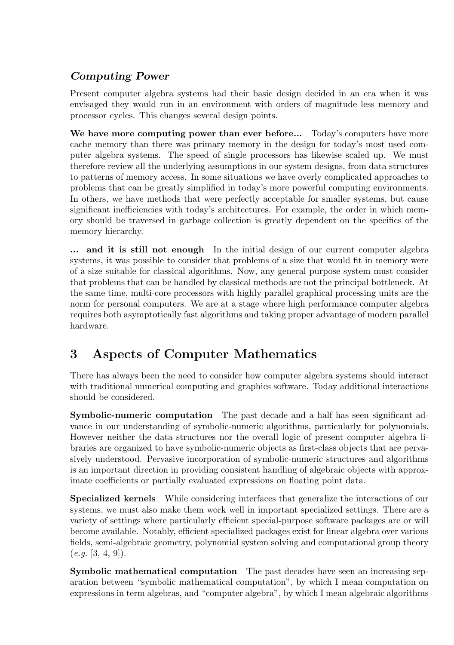### Computing Power

Present computer algebra systems had their basic design decided in an era when it was envisaged they would run in an environment with orders of magnitude less memory and processor cycles. This changes several design points.

We have more computing power than ever before... Today's computers have more cache memory than there was primary memory in the design for today's most used computer algebra systems. The speed of single processors has likewise scaled up. We must therefore review all the underlying assumptions in our system designs, from data structures to patterns of memory access. In some situations we have overly complicated approaches to problems that can be greatly simplified in today's more powerful computing environments. In others, we have methods that were perfectly acceptable for smaller systems, but cause significant inefficiencies with today's architectures. For example, the order in which memory should be traversed in garbage collection is greatly dependent on the specifics of the memory hierarchy.

... and it is still not enough In the initial design of our current computer algebra systems, it was possible to consider that problems of a size that would fit in memory were of a size suitable for classical algorithms. Now, any general purpose system must consider that problems that can be handled by classical methods are not the principal bottleneck. At the same time, multi-core processors with highly parallel graphical processing units are the norm for personal computers. We are at a stage where high performance computer algebra requires both asymptotically fast algorithms and taking proper advantage of modern parallel hardware.

# 3 Aspects of Computer Mathematics

There has always been the need to consider how computer algebra systems should interact with traditional numerical computing and graphics software. Today additional interactions should be considered.

Symbolic-numeric computation The past decade and a half has seen significant advance in our understanding of symbolic-numeric algorithms, particularly for polynomials. However neither the data structures nor the overall logic of present computer algebra libraries are organized to have symbolic-numeric objects as first-class objects that are pervasively understood. Pervasive incorporation of symbolic-numeric structures and algorithms is an important direction in providing consistent handling of algebraic objects with approximate coefficients or partially evaluated expressions on floating point data.

Specialized kernels While considering interfaces that generalize the interactions of our systems, we must also make them work well in important specialized settings. There are a variety of settings where particularly efficient special-purpose software packages are or will become available. Notably, efficient specialized packages exist for linear algebra over various fields, semi-algebraic geometry, polynomial system solving and computational group theory  $(e.g. [3, 4, 9]).$ 

Symbolic mathematical computation The past decades have seen an increasing separation between "symbolic mathematical computation", by which I mean computation on expressions in term algebras, and "computer algebra", by which I mean algebraic algorithms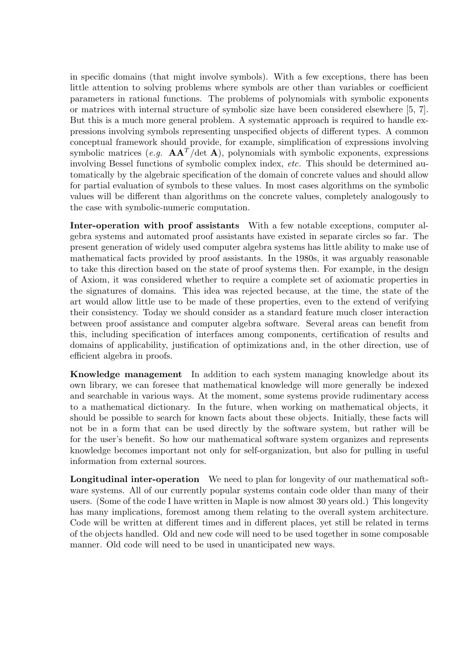in specific domains (that might involve symbols). With a few exceptions, there has been little attention to solving problems where symbols are other than variables or coefficient parameters in rational functions. The problems of polynomials with symbolic exponents or matrices with internal structure of symbolic size have been considered elsewhere [5, 7]. But this is a much more general problem. A systematic approach is required to handle expressions involving symbols representing unspecified objects of different types. A common conceptual framework should provide, for example, simplification of expressions involving symbolic matrices (e.g.  $AA<sup>T</sup>/det A$ ), polynomials with symbolic exponents, expressions involving Bessel functions of symbolic complex index, *etc.* This should be determined automatically by the algebraic specification of the domain of concrete values and should allow for partial evaluation of symbols to these values. In most cases algorithms on the symbolic values will be different than algorithms on the concrete values, completely analogously to the case with symbolic-numeric computation.

Inter-operation with proof assistants With a few notable exceptions, computer algebra systems and automated proof assistants have existed in separate circles so far. The present generation of widely used computer algebra systems has little ability to make use of mathematical facts provided by proof assistants. In the 1980s, it was arguably reasonable to take this direction based on the state of proof systems then. For example, in the design of Axiom, it was considered whether to require a complete set of axiomatic properties in the signatures of domains. This idea was rejected because, at the time, the state of the art would allow little use to be made of these properties, even to the extend of verifying their consistency. Today we should consider as a standard feature much closer interaction between proof assistance and computer algebra software. Several areas can benefit from this, including specification of interfaces among components, certification of results and domains of applicability, justification of optimizations and, in the other direction, use of efficient algebra in proofs.

Knowledge management In addition to each system managing knowledge about its own library, we can foresee that mathematical knowledge will more generally be indexed and searchable in various ways. At the moment, some systems provide rudimentary access to a mathematical dictionary. In the future, when working on mathematical objects, it should be possible to search for known facts about these objects. Initially, these facts will not be in a form that can be used directly by the software system, but rather will be for the user's benefit. So how our mathematical software system organizes and represents knowledge becomes important not only for self-organization, but also for pulling in useful information from external sources.

Longitudinal inter-operation We need to plan for longevity of our mathematical software systems. All of our currently popular systems contain code older than many of their users. (Some of the code I have written in Maple is now almost 30 years old.) This longevity has many implications, foremost among them relating to the overall system architecture. Code will be written at different times and in different places, yet still be related in terms of the objects handled. Old and new code will need to be used together in some composable manner. Old code will need to be used in unanticipated new ways.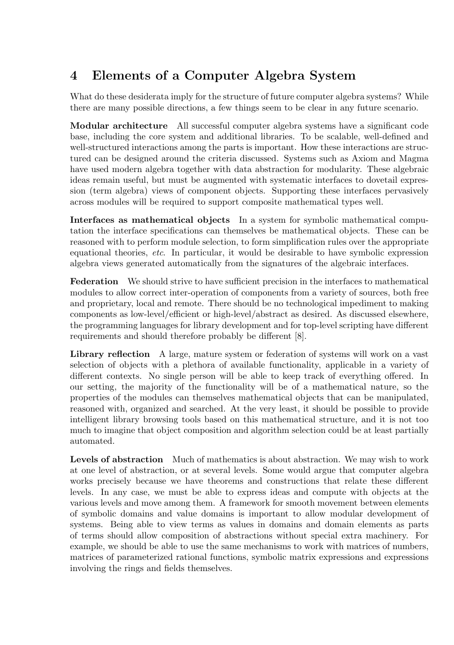# 4 Elements of a Computer Algebra System

What do these desiderata imply for the structure of future computer algebra systems? While there are many possible directions, a few things seem to be clear in any future scenario.

Modular architecture All successful computer algebra systems have a significant code base, including the core system and additional libraries. To be scalable, well-defined and well-structured interactions among the parts is important. How these interactions are structured can be designed around the criteria discussed. Systems such as Axiom and Magma have used modern algebra together with data abstraction for modularity. These algebraic ideas remain useful, but must be augmented with systematic interfaces to dovetail expression (term algebra) views of component objects. Supporting these interfaces pervasively across modules will be required to support composite mathematical types well.

Interfaces as mathematical objects In a system for symbolic mathematical computation the interface specifications can themselves be mathematical objects. These can be reasoned with to perform module selection, to form simplification rules over the appropriate equational theories, etc. In particular, it would be desirable to have symbolic expression algebra views generated automatically from the signatures of the algebraic interfaces.

Federation We should strive to have sufficient precision in the interfaces to mathematical modules to allow correct inter-operation of components from a variety of sources, both free and proprietary, local and remote. There should be no technological impediment to making components as low-level/efficient or high-level/abstract as desired. As discussed elsewhere, the programming languages for library development and for top-level scripting have different requirements and should therefore probably be different [8].

Library reflection A large, mature system or federation of systems will work on a vast selection of objects with a plethora of available functionality, applicable in a variety of different contexts. No single person will be able to keep track of everything offered. In our setting, the majority of the functionality will be of a mathematical nature, so the properties of the modules can themselves mathematical objects that can be manipulated, reasoned with, organized and searched. At the very least, it should be possible to provide intelligent library browsing tools based on this mathematical structure, and it is not too much to imagine that object composition and algorithm selection could be at least partially automated.

Levels of abstraction Much of mathematics is about abstraction. We may wish to work at one level of abstraction, or at several levels. Some would argue that computer algebra works precisely because we have theorems and constructions that relate these different levels. In any case, we must be able to express ideas and compute with objects at the various levels and move among them. A framework for smooth movement between elements of symbolic domains and value domains is important to allow modular development of systems. Being able to view terms as values in domains and domain elements as parts of terms should allow composition of abstractions without special extra machinery. For example, we should be able to use the same mechanisms to work with matrices of numbers, matrices of parameterized rational functions, symbolic matrix expressions and expressions involving the rings and fields themselves.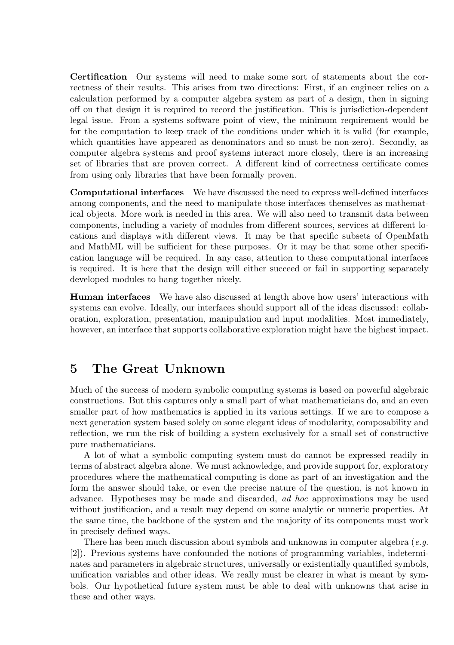Certification Our systems will need to make some sort of statements about the correctness of their results. This arises from two directions: First, if an engineer relies on a calculation performed by a computer algebra system as part of a design, then in signing off on that design it is required to record the justification. This is jurisdiction-dependent legal issue. From a systems software point of view, the minimum requirement would be for the computation to keep track of the conditions under which it is valid (for example, which quantities have appeared as denominators and so must be non-zero). Secondly, as computer algebra systems and proof systems interact more closely, there is an increasing set of libraries that are proven correct. A different kind of correctness certificate comes from using only libraries that have been formally proven.

Computational interfaces We have discussed the need to express well-defined interfaces among components, and the need to manipulate those interfaces themselves as mathematical objects. More work is needed in this area. We will also need to transmit data between components, including a variety of modules from different sources, services at different locations and displays with different views. It may be that specific subsets of OpenMath and MathML will be sufficient for these purposes. Or it may be that some other specification language will be required. In any case, attention to these computational interfaces is required. It is here that the design will either succeed or fail in supporting separately developed modules to hang together nicely.

Human interfaces We have also discussed at length above how users' interactions with systems can evolve. Ideally, our interfaces should support all of the ideas discussed: collaboration, exploration, presentation, manipulation and input modalities. Most immediately, however, an interface that supports collaborative exploration might have the highest impact.

### 5 The Great Unknown

Much of the success of modern symbolic computing systems is based on powerful algebraic constructions. But this captures only a small part of what mathematicians do, and an even smaller part of how mathematics is applied in its various settings. If we are to compose a next generation system based solely on some elegant ideas of modularity, composability and reflection, we run the risk of building a system exclusively for a small set of constructive pure mathematicians.

A lot of what a symbolic computing system must do cannot be expressed readily in terms of abstract algebra alone. We must acknowledge, and provide support for, exploratory procedures where the mathematical computing is done as part of an investigation and the form the answer should take, or even the precise nature of the question, is not known in advance. Hypotheses may be made and discarded, ad hoc approximations may be used without justification, and a result may depend on some analytic or numeric properties. At the same time, the backbone of the system and the majority of its components must work in precisely defined ways.

There has been much discussion about symbols and unknowns in computer algebra  $(e, q, q)$ [2]). Previous systems have confounded the notions of programming variables, indeterminates and parameters in algebraic structures, universally or existentially quantified symbols, unification variables and other ideas. We really must be clearer in what is meant by symbols. Our hypothetical future system must be able to deal with unknowns that arise in these and other ways.